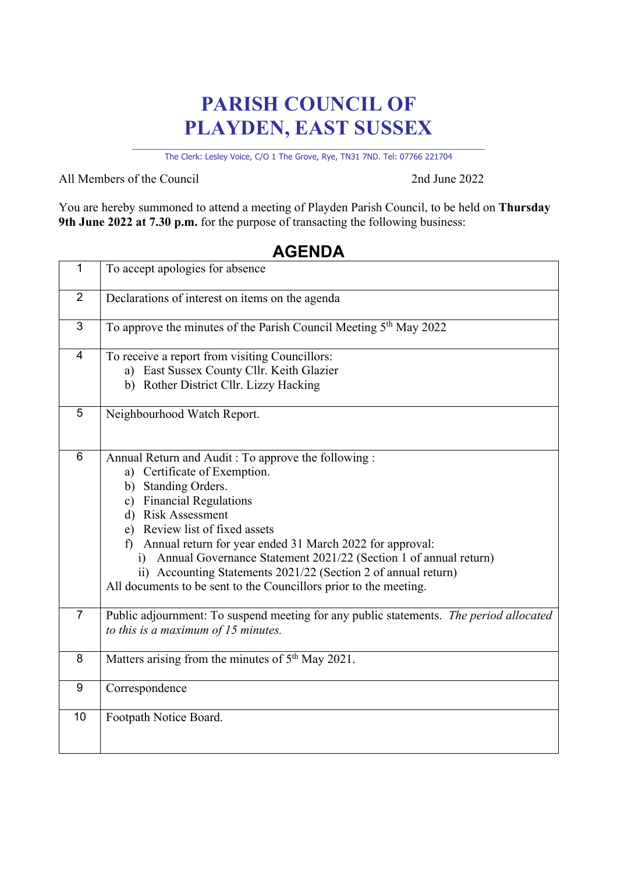## **PARISH COUNCIL OF PLAYDEN, EAST SUSSEX**

\_\_\_\_\_\_\_\_\_\_\_\_\_\_\_\_\_\_\_\_\_\_\_\_\_\_\_\_\_\_\_\_\_\_\_\_\_\_\_\_\_\_\_\_\_\_\_\_\_\_\_\_\_\_\_\_\_\_\_\_\_\_\_\_\_\_\_\_ The Clerk: Lesley Voice, C/O 1 The Grove, Rye, TN31 7ND. Tel: 07766 221704

All Members of the Council 2nd June 2022

You are hereby summoned to attend a meeting of Playden Parish Council, to be held on **Thursday 9th June 2022 at 7.30 p.m.** for the purpose of transacting the following business:

| $\mathbf{1}$   | To accept apologies for absence                                                                                                                                                                                                                                                                                                                                                                                                                                               |
|----------------|-------------------------------------------------------------------------------------------------------------------------------------------------------------------------------------------------------------------------------------------------------------------------------------------------------------------------------------------------------------------------------------------------------------------------------------------------------------------------------|
| $\overline{2}$ | Declarations of interest on items on the agenda                                                                                                                                                                                                                                                                                                                                                                                                                               |
| 3              | To approve the minutes of the Parish Council Meeting 5 <sup>th</sup> May 2022                                                                                                                                                                                                                                                                                                                                                                                                 |
| $\overline{4}$ | To receive a report from visiting Councillors:<br>a) East Sussex County Cllr. Keith Glazier<br>b) Rother District Cllr. Lizzy Hacking                                                                                                                                                                                                                                                                                                                                         |
| 5              | Neighbourhood Watch Report.                                                                                                                                                                                                                                                                                                                                                                                                                                                   |
| 6              | Annual Return and Audit: To approve the following:<br>a) Certificate of Exemption.<br>b) Standing Orders.<br>c) Financial Regulations<br>d) Risk Assessment<br>e) Review list of fixed assets<br>Annual return for year ended 31 March 2022 for approval:<br>f)<br>i) Annual Governance Statement 2021/22 (Section 1 of annual return)<br>ii) Accounting Statements 2021/22 (Section 2 of annual return)<br>All documents to be sent to the Councillors prior to the meeting. |
| $\overline{7}$ | Public adjournment: To suspend meeting for any public statements. The period allocated<br>to this is a maximum of $15$ minutes.                                                                                                                                                                                                                                                                                                                                               |
| 8              | Matters arising from the minutes of 5 <sup>th</sup> May 2021.                                                                                                                                                                                                                                                                                                                                                                                                                 |
| 9              | Correspondence                                                                                                                                                                                                                                                                                                                                                                                                                                                                |
| 10             | Footpath Notice Board.                                                                                                                                                                                                                                                                                                                                                                                                                                                        |

## **AGENDA**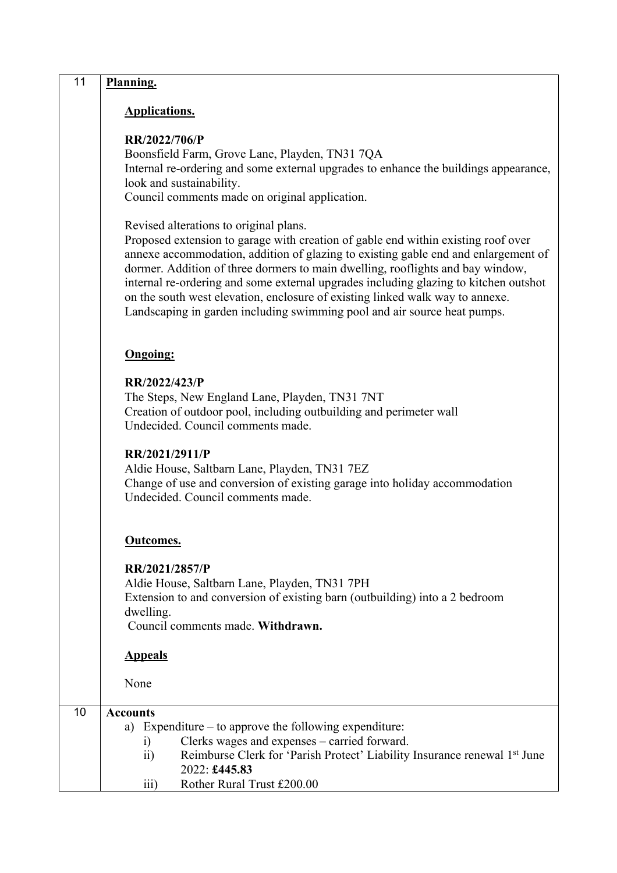| 11 | Planning.                                                                                                                                                                                                                                                                                                                                                                                                                                                                                                                                                |
|----|----------------------------------------------------------------------------------------------------------------------------------------------------------------------------------------------------------------------------------------------------------------------------------------------------------------------------------------------------------------------------------------------------------------------------------------------------------------------------------------------------------------------------------------------------------|
|    | <b>Applications.</b>                                                                                                                                                                                                                                                                                                                                                                                                                                                                                                                                     |
|    | RR/2022/706/P<br>Boonsfield Farm, Grove Lane, Playden, TN31 7QA<br>Internal re-ordering and some external upgrades to enhance the buildings appearance,<br>look and sustainability.<br>Council comments made on original application.                                                                                                                                                                                                                                                                                                                    |
|    | Revised alterations to original plans.<br>Proposed extension to garage with creation of gable end within existing roof over<br>annexe accommodation, addition of glazing to existing gable end and enlargement of<br>dormer. Addition of three dormers to main dwelling, rooflights and bay window,<br>internal re-ordering and some external upgrades including glazing to kitchen outshot<br>on the south west elevation, enclosure of existing linked walk way to annexe.<br>Landscaping in garden including swimming pool and air source heat pumps. |
|    | <b>Ongoing:</b>                                                                                                                                                                                                                                                                                                                                                                                                                                                                                                                                          |
|    | RR/2022/423/P<br>The Steps, New England Lane, Playden, TN31 7NT<br>Creation of outdoor pool, including outbuilding and perimeter wall<br>Undecided. Council comments made.                                                                                                                                                                                                                                                                                                                                                                               |
|    | RR/2021/2911/P<br>Aldie House, Saltbarn Lane, Playden, TN31 7EZ<br>Change of use and conversion of existing garage into holiday accommodation<br>Undecided. Council comments made.                                                                                                                                                                                                                                                                                                                                                                       |
|    | <b>Outcomes.</b>                                                                                                                                                                                                                                                                                                                                                                                                                                                                                                                                         |
|    | RR/2021/2857/P<br>Aldie House, Saltbarn Lane, Playden, TN31 7PH<br>Extension to and conversion of existing barn (outbuilding) into a 2 bedroom<br>dwelling.<br>Council comments made. Withdrawn.                                                                                                                                                                                                                                                                                                                                                         |
|    | <b>Appeals</b>                                                                                                                                                                                                                                                                                                                                                                                                                                                                                                                                           |
|    | None                                                                                                                                                                                                                                                                                                                                                                                                                                                                                                                                                     |
| 10 | <b>Accounts</b><br>Expenditure $-$ to approve the following expenditure:<br>a)<br>Clerks wages and expenses - carried forward.<br>i)<br>Reimburse Clerk for 'Parish Protect' Liability Insurance renewal 1st June<br>$\overline{11}$<br>2022: £445.83<br>Rother Rural Trust £200.00<br>$\overline{111}$                                                                                                                                                                                                                                                  |